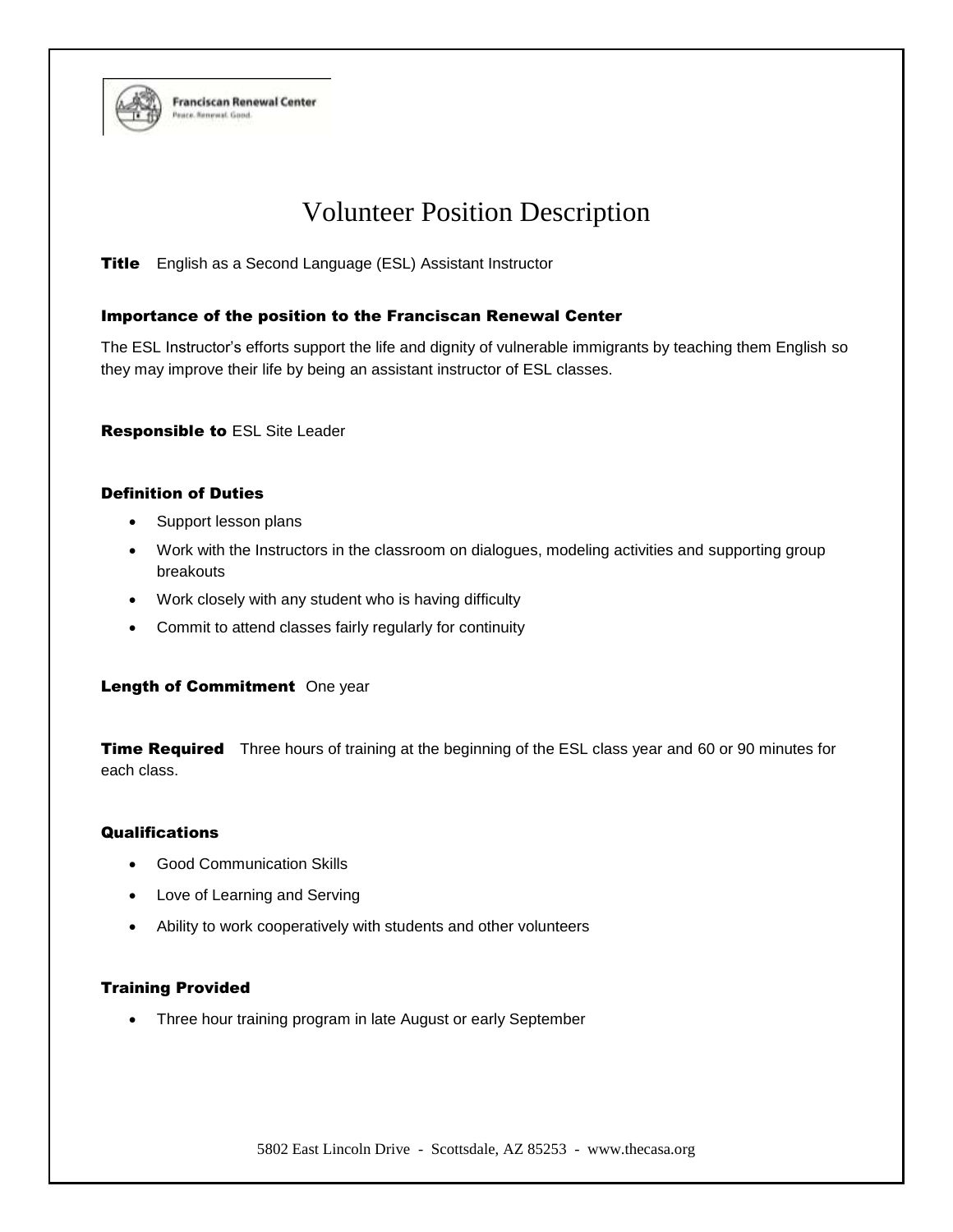

# Volunteer Position Description

**Title** English as a Second Language (ESL) Assistant Instructor

## Importance of the position to the Franciscan Renewal Center

The ESL Instructor's efforts support the life and dignity of vulnerable immigrants by teaching them English so they may improve their life by being an assistant instructor of ESL classes.

Responsible to ESL Site Leader

**Franciscan Renewal Center** 

race. Renewal. Good

#### Definition of Duties

- Support lesson plans
- Work with the Instructors in the classroom on dialogues, modeling activities and supporting group breakouts
- Work closely with any student who is having difficulty
- Commit to attend classes fairly regularly for continuity

#### Length of Commitment One year

**Time Required** Three hours of training at the beginning of the ESL class year and 60 or 90 minutes for each class.

## **Qualifications**

- Good Communication Skills
- Love of Learning and Serving
- Ability to work cooperatively with students and other volunteers

# Training Provided

• Three hour training program in late August or early September